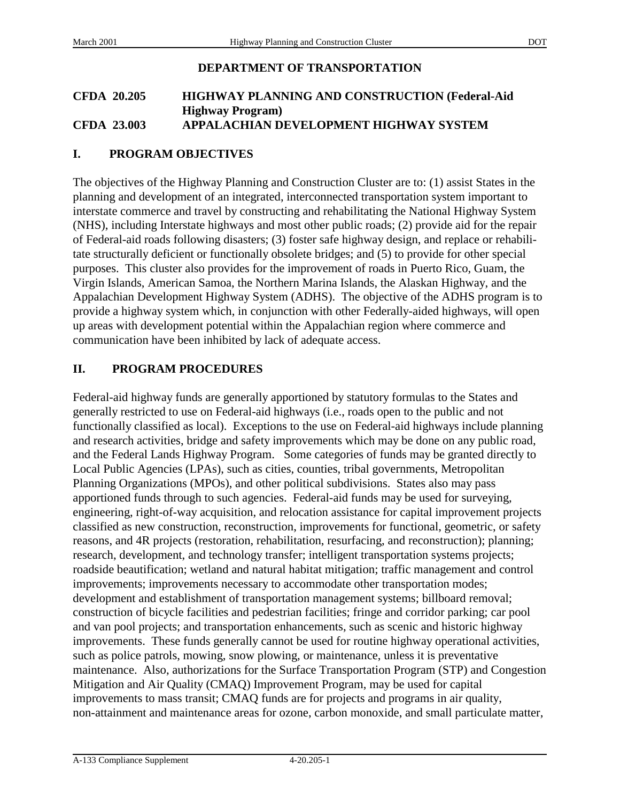# **DEPARTMENT OF TRANSPORTATION**

### **CFDA 20.205 HIGHWAY PLANNING AND CONSTRUCTION (Federal-Aid Highway Program) CFDA 23.003 APPALACHIAN DEVELOPMENT HIGHWAY SYSTEM**

# **I. PROGRAM OBJECTIVES**

The objectives of the Highway Planning and Construction Cluster are to: (1) assist States in the planning and development of an integrated, interconnected transportation system important to interstate commerce and travel by constructing and rehabilitating the National Highway System (NHS), including Interstate highways and most other public roads; (2) provide aid for the repair of Federal-aid roads following disasters; (3) foster safe highway design, and replace or rehabilitate structurally deficient or functionally obsolete bridges; and (5) to provide for other special purposes. This cluster also provides for the improvement of roads in Puerto Rico, Guam, the Virgin Islands, American Samoa, the Northern Marina Islands, the Alaskan Highway, and the Appalachian Development Highway System (ADHS). The objective of the ADHS program is to provide a highway system which, in conjunction with other Federally-aided highways, will open up areas with development potential within the Appalachian region where commerce and communication have been inhibited by lack of adequate access.

# **II. PROGRAM PROCEDURES**

Federal-aid highway funds are generally apportioned by statutory formulas to the States and generally restricted to use on Federal-aid highways (i.e., roads open to the public and not functionally classified as local). Exceptions to the use on Federal-aid highways include planning and research activities, bridge and safety improvements which may be done on any public road, and the Federal Lands Highway Program. Some categories of funds may be granted directly to Local Public Agencies (LPAs), such as cities, counties, tribal governments, Metropolitan Planning Organizations (MPOs), and other political subdivisions. States also may pass apportioned funds through to such agencies. Federal-aid funds may be used for surveying, engineering, right-of-way acquisition, and relocation assistance for capital improvement projects classified as new construction, reconstruction, improvements for functional, geometric, or safety reasons, and 4R projects (restoration, rehabilitation, resurfacing, and reconstruction); planning; research, development, and technology transfer; intelligent transportation systems projects; roadside beautification; wetland and natural habitat mitigation; traffic management and control improvements; improvements necessary to accommodate other transportation modes; development and establishment of transportation management systems; billboard removal; construction of bicycle facilities and pedestrian facilities; fringe and corridor parking; car pool and van pool projects; and transportation enhancements, such as scenic and historic highway improvements. These funds generally cannot be used for routine highway operational activities, such as police patrols, mowing, snow plowing, or maintenance, unless it is preventative maintenance. Also, authorizations for the Surface Transportation Program (STP) and Congestion Mitigation and Air Quality (CMAQ) Improvement Program, may be used for capital improvements to mass transit; CMAQ funds are for projects and programs in air quality, non-attainment and maintenance areas for ozone, carbon monoxide, and small particulate matter,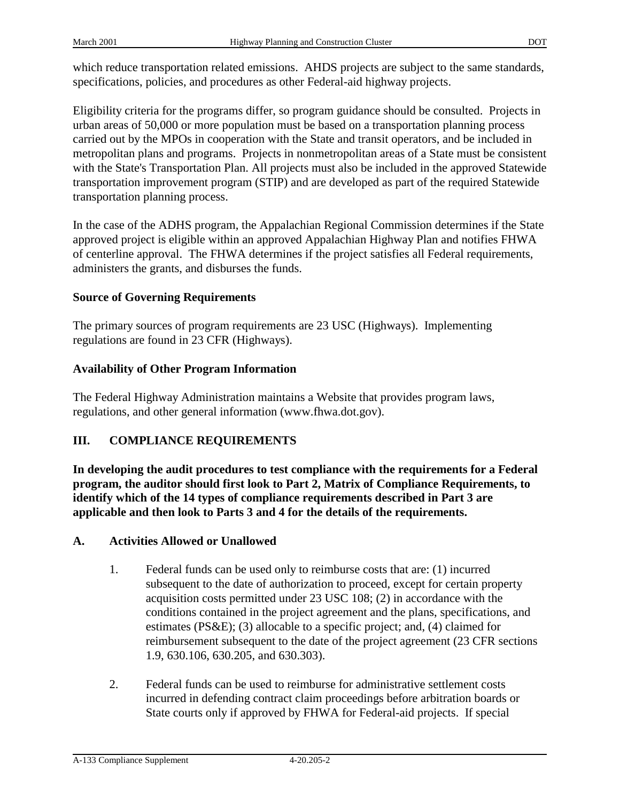Eligibility criteria for the programs differ, so program guidance should be consulted. Projects in urban areas of 50,000 or more population must be based on a transportation planning process carried out by the MPOs in cooperation with the State and transit operators, and be included in metropolitan plans and programs. Projects in nonmetropolitan areas of a State must be consistent with the State's Transportation Plan. All projects must also be included in the approved Statewide transportation improvement program (STIP) and are developed as part of the required Statewide transportation planning process.

In the case of the ADHS program, the Appalachian Regional Commission determines if the State approved project is eligible within an approved Appalachian Highway Plan and notifies FHWA of centerline approval. The FHWA determines if the project satisfies all Federal requirements, administers the grants, and disburses the funds.

# **Source of Governing Requirements**

The primary sources of program requirements are 23 USC (Highways). Implementing regulations are found in 23 CFR (Highways).

# **Availability of Other Program Information**

The Federal Highway Administration maintains a Website that provides program laws, regulations, and other general information (www.fhwa.dot.gov).

# **III. COMPLIANCE REQUIREMENTS**

**In developing the audit procedures to test compliance with the requirements for a Federal program, the auditor should first look to Part 2, Matrix of Compliance Requirements, to identify which of the 14 types of compliance requirements described in Part 3 are applicable and then look to Parts 3 and 4 for the details of the requirements.**

# **A. Activities Allowed or Unallowed**

- 1. Federal funds can be used only to reimburse costs that are: (1) incurred subsequent to the date of authorization to proceed, except for certain property acquisition costs permitted under 23 USC 108; (2) in accordance with the conditions contained in the project agreement and the plans, specifications, and estimates (PS&E); (3) allocable to a specific project; and, (4) claimed for reimbursement subsequent to the date of the project agreement (23 CFR sections 1.9, 630.106, 630.205, and 630.303).
- 2. Federal funds can be used to reimburse for administrative settlement costs incurred in defending contract claim proceedings before arbitration boards or State courts only if approved by FHWA for Federal-aid projects. If special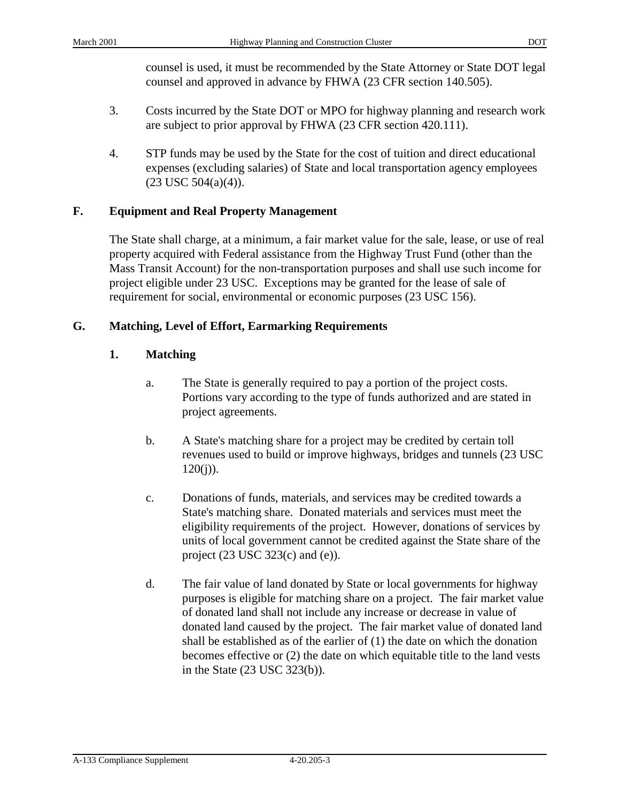counsel is used, it must be recommended by the State Attorney or State DOT legal counsel and approved in advance by FHWA (23 CFR section 140.505).

- 3. Costs incurred by the State DOT or MPO for highway planning and research work are subject to prior approval by FHWA (23 CFR section 420.111).
- 4. STP funds may be used by the State for the cost of tuition and direct educational expenses (excluding salaries) of State and local transportation agency employees  $(23$  USC  $504(a)(4)$ ).

# **F. Equipment and Real Property Management**

The State shall charge, at a minimum, a fair market value for the sale, lease, or use of real property acquired with Federal assistance from the Highway Trust Fund (other than the Mass Transit Account) for the non-transportation purposes and shall use such income for project eligible under 23 USC. Exceptions may be granted for the lease of sale of requirement for social, environmental or economic purposes (23 USC 156).

# **G. Matching, Level of Effort, Earmarking Requirements**

# **1. Matching**

- a. The State is generally required to pay a portion of the project costs. Portions vary according to the type of funds authorized and are stated in project agreements.
- b. A State's matching share for a project may be credited by certain toll revenues used to build or improve highways, bridges and tunnels (23 USC  $120(i)$ ).
- c. Donations of funds, materials, and services may be credited towards a State's matching share. Donated materials and services must meet the eligibility requirements of the project. However, donations of services by units of local government cannot be credited against the State share of the project  $(23 \text{ USC } 323(c)$  and  $(e)$ ).
- d. The fair value of land donated by State or local governments for highway purposes is eligible for matching share on a project. The fair market value of donated land shall not include any increase or decrease in value of donated land caused by the project. The fair market value of donated land shall be established as of the earlier of (1) the date on which the donation becomes effective or (2) the date on which equitable title to the land vests in the State (23 USC 323(b)).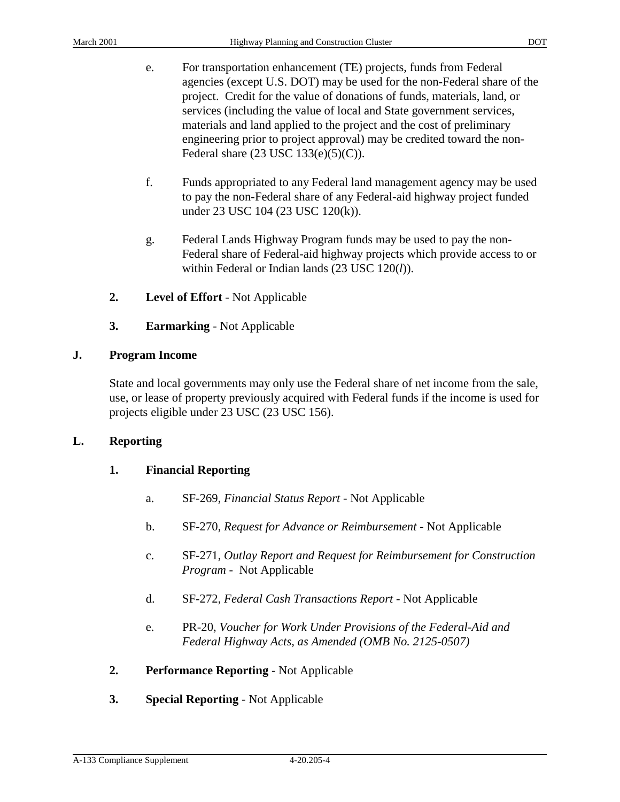- e. For transportation enhancement (TE) projects, funds from Federal agencies (except U.S. DOT) may be used for the non-Federal share of the project. Credit for the value of donations of funds, materials, land, or services (including the value of local and State government services, materials and land applied to the project and the cost of preliminary engineering prior to project approval) may be credited toward the non-Federal share (23 USC 133(e)(5)(C)).
- f. Funds appropriated to any Federal land management agency may be used to pay the non-Federal share of any Federal-aid highway project funded under 23 USC 104 (23 USC 120(k)).
- g. Federal Lands Highway Program funds may be used to pay the non-Federal share of Federal-aid highway projects which provide access to or within Federal or Indian lands (23 USC 120(*l*)).
- **2. Level of Effort** Not Applicable
- **3. Earmarking** Not Applicable

# **J. Program Income**

State and local governments may only use the Federal share of net income from the sale, use, or lease of property previously acquired with Federal funds if the income is used for projects eligible under 23 USC (23 USC 156).

# **L. Reporting**

# **1. Financial Reporting**

- a. SF-269, *Financial Status Report* Not Applicable
- b. SF-270, *Request for Advance or Reimbursement* Not Applicable
- c. SF-271, *Outlay Report and Request for Reimbursement for Construction Program* - Not Applicable
- d. SF-272, *Federal Cash Transactions Report* Not Applicable
- e. PR-20, *Voucher for Work Under Provisions of the Federal-Aid and Federal Highway Acts, as Amended (OMB No. 2125-0507)*
- **2. Performance Reporting** Not Applicable
- **3. Special Reporting** Not Applicable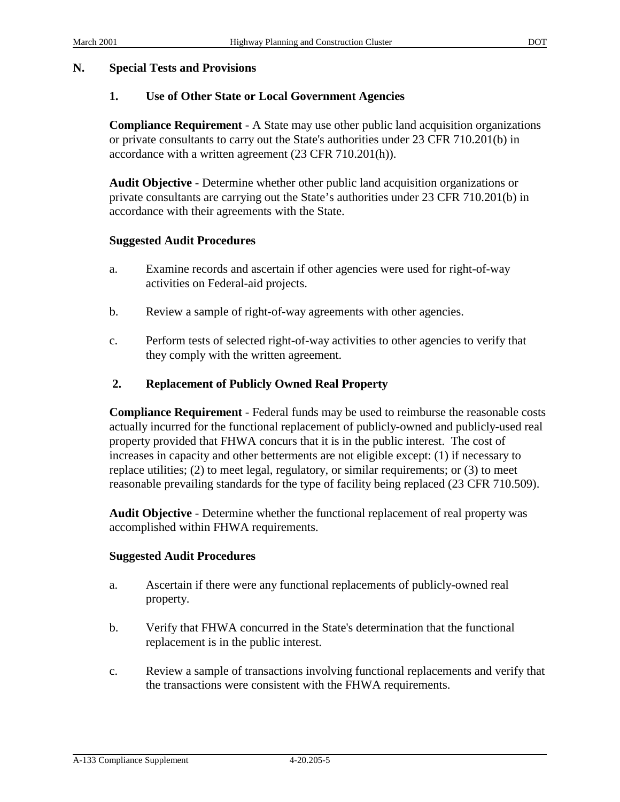### **N. Special Tests and Provisions**

# **1. Use of Other State or Local Government Agencies**

**Compliance Requirement** - A State may use other public land acquisition organizations or private consultants to carry out the State's authorities under 23 CFR 710.201(b) in accordance with a written agreement (23 CFR 710.201(h)).

**Audit Objective** - Determine whether other public land acquisition organizations or private consultants are carrying out the State's authorities under 23 CFR 710.201(b) in accordance with their agreements with the State.

### **Suggested Audit Procedures**

- a. Examine records and ascertain if other agencies were used for right-of-way activities on Federal-aid projects.
- b. Review a sample of right-of-way agreements with other agencies.
- c. Perform tests of selected right-of-way activities to other agencies to verify that they comply with the written agreement.

# **2. Replacement of Publicly Owned Real Property**

**Compliance Requirement** - Federal funds may be used to reimburse the reasonable costs actually incurred for the functional replacement of publicly-owned and publicly-used real property provided that FHWA concurs that it is in the public interest. The cost of increases in capacity and other betterments are not eligible except: (1) if necessary to replace utilities; (2) to meet legal, regulatory, or similar requirements; or (3) to meet reasonable prevailing standards for the type of facility being replaced (23 CFR 710.509).

**Audit Objective** - Determine whether the functional replacement of real property was accomplished within FHWA requirements.

### **Suggested Audit Procedures**

- a. Ascertain if there were any functional replacements of publicly-owned real property.
- b. Verify that FHWA concurred in the State's determination that the functional replacement is in the public interest.
- c. Review a sample of transactions involving functional replacements and verify that the transactions were consistent with the FHWA requirements.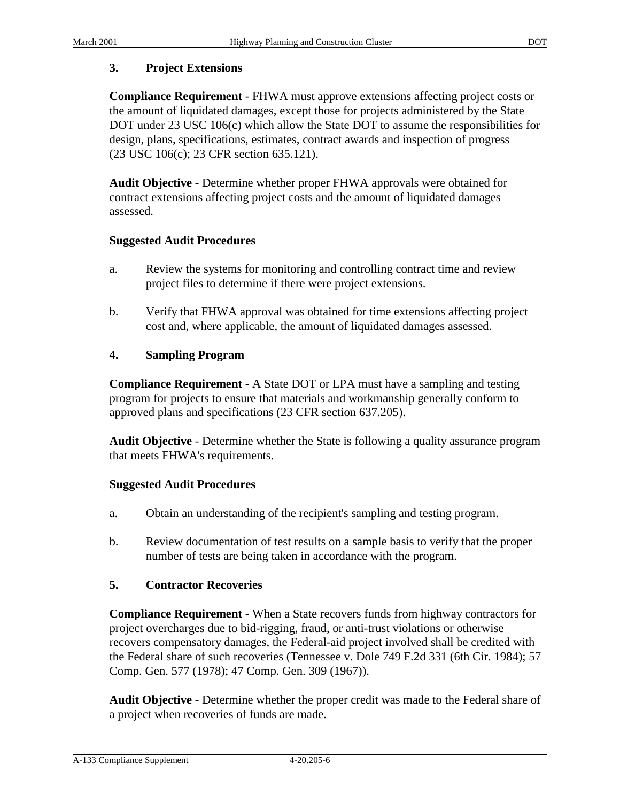### **3. Project Extensions**

**Compliance Requirement** - FHWA must approve extensions affecting project costs or the amount of liquidated damages, except those for projects administered by the State DOT under 23 USC 106(c) which allow the State DOT to assume the responsibilities for design, plans, specifications, estimates, contract awards and inspection of progress (23 USC 106(c); 23 CFR section 635.121).

**Audit Objective** - Determine whether proper FHWA approvals were obtained for contract extensions affecting project costs and the amount of liquidated damages assessed.

### **Suggested Audit Procedures**

- a. Review the systems for monitoring and controlling contract time and review project files to determine if there were project extensions.
- b. Verify that FHWA approval was obtained for time extensions affecting project cost and, where applicable, the amount of liquidated damages assessed.

# **4. Sampling Program**

**Compliance Requirement** - A State DOT or LPA must have a sampling and testing program for projects to ensure that materials and workmanship generally conform to approved plans and specifications (23 CFR section 637.205).

**Audit Objective** - Determine whether the State is following a quality assurance program that meets FHWA's requirements.

### **Suggested Audit Procedures**

- a. Obtain an understanding of the recipient's sampling and testing program.
- b. Review documentation of test results on a sample basis to verify that the proper number of tests are being taken in accordance with the program.

# **5. Contractor Recoveries**

**Compliance Requirement** - When a State recovers funds from highway contractors for project overcharges due to bid-rigging, fraud, or anti-trust violations or otherwise recovers compensatory damages, the Federal-aid project involved shall be credited with the Federal share of such recoveries (Tennessee v. Dole 749 F.2d 331 (6th Cir. 1984); 57 Comp. Gen. 577 (1978); 47 Comp. Gen. 309 (1967)).

**Audit Objective** - Determine whether the proper credit was made to the Federal share of a project when recoveries of funds are made.